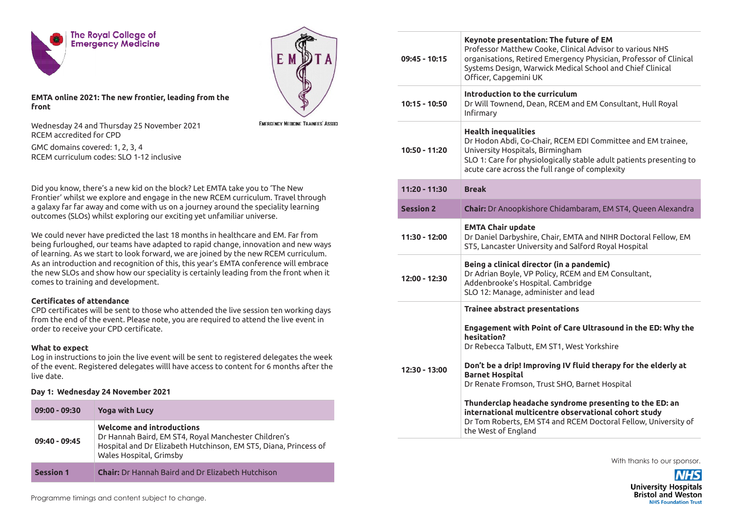



**EMTA online 2021: The new frontier, leading from the front** 

Wednesday 24 and Thursday 25 November 2021 RCEM accredited for CPD

**EMERGENCY MEDICINE TRAINEES' ASSOCI** 

GMC domains covered: 1, 2, 3, 4 RCEM curriculum codes: SLO 1-12 inclusive

Did you know, there's a new kid on the block? Let EMTA take you to 'The New Frontier' whilst we explore and engage in the new RCEM curriculum. Travel through a galaxy far far away and come with us on a journey around the speciality learning outcomes (SLOs) whilst exploring our exciting yet unfamiliar universe.

We could never have predicted the last 18 months in healthcare and EM. Far from being furloughed, our teams have adapted to rapid change, innovation and new ways of learning. As we start to look forward, we are joined by the new RCEM curriculum. As an introduction and recognition of this, this year's EMTA conference will embrace the new SLOs and show how our speciality is certainly leading from the front when it comes to training and development.

## **Certificates of attendance**

CPD certificates will be sent to those who attended the live session ten working days from the end of the event. Please note, you are required to attend the live event in order to receive your CPD certificate.

## **What to expect**

Log in instructions to join the live event will be sent to registered delegates the week of the event. Registered delegates willl have access to content for 6 months after the live date.

## **Day 1: Wednesday 24 November 2021**

| $09:00 - 09:30$  | <b>Yoga with Lucy</b>                                                                                                                                                            |
|------------------|----------------------------------------------------------------------------------------------------------------------------------------------------------------------------------|
| $09:40 - 09:45$  | Welcome and introductions<br>Dr Hannah Baird, EM ST4, Royal Manchester Children's<br>Hospital and Dr Elizabeth Hutchinson, EM ST5, Diana, Princess of<br>Wales Hospital, Grimsby |
| <b>Session 1</b> | <b>Chair:</b> Dr Hannah Baird and Dr Elizabeth Hutchison                                                                                                                         |

| 09:45 - 10:15    | Keynote presentation: The future of EM<br>Professor Matthew Cooke, Clinical Advisor to various NHS<br>organisations, Retired Emergency Physician, Professor of Clinical<br>Systems Design, Warwick Medical School and Chief Clinical<br>Officer, Capgemini UK |
|------------------|---------------------------------------------------------------------------------------------------------------------------------------------------------------------------------------------------------------------------------------------------------------|
| 10:15 - 10:50    | Introduction to the curriculum<br>Dr Will Townend, Dean, RCEM and EM Consultant, Hull Royal<br>Infirmary                                                                                                                                                      |
| 10:50 - 11:20    | <b>Health inequalities</b><br>Dr Hodon Abdi, Co-Chair, RCEM EDI Committee and EM trainee,<br>University Hospitals, Birmingham<br>SLO 1: Care for physiologically stable adult patients presenting to<br>acute care across the full range of complexity        |
| 11:20 - 11:30    | <b>Break</b>                                                                                                                                                                                                                                                  |
| <b>Session 2</b> | Chair: Dr Anoopkishore Chidambaram, EM ST4, Queen Alexandra                                                                                                                                                                                                   |
| 11:30 - 12:00    | <b>EMTA Chair update</b><br>Dr Daniel Darbyshire, Chair, EMTA and NIHR Doctoral Fellow, EM<br>ST5, Lancaster University and Salford Royal Hospital                                                                                                            |
| 12:00 - 12:30    | Being a clinical director (in a pandemic)<br>Dr Adrian Boyle, VP Policy, RCEM and EM Consultant,<br>Addenbrooke's Hospital. Cambridge<br>SLO 12: Manage, administer and lead                                                                                  |
|                  | <b>Trainee abstract presentations</b>                                                                                                                                                                                                                         |
|                  | Engagement with Point of Care Ultrasound in the ED: Why the<br>hesitation?<br>Dr Rebecca Talbutt, EM ST1, West Yorkshire                                                                                                                                      |
| 12:30 - 13:00    | Don't be a drip! Improving IV fluid therapy for the elderly at<br><b>Barnet Hospital</b><br>Dr Renate Fromson, Trust SHO, Barnet Hospital                                                                                                                     |
|                  | Thunderclap headache syndrome presenting to the ED: an<br>international multicentre observational cohort study<br>Dr Tom Roberts, EM ST4 and RCEM Doctoral Fellow, University of<br>the West of England                                                       |

With thanks to our sponsor.

**University Hospitals Bristol and Weston NHS Foundation Trust** 

Programme timings and content subject to change.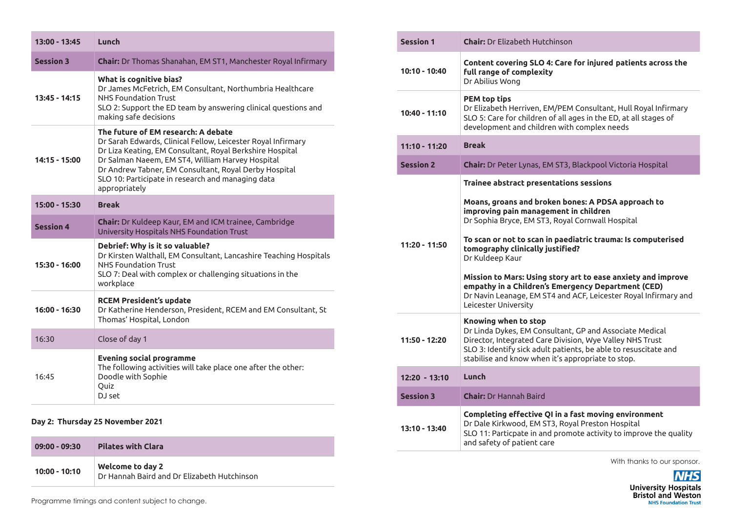| $13:00 - 13:45$  | Lunch                                                                                                                                                                                                                                                                                                                                              |
|------------------|----------------------------------------------------------------------------------------------------------------------------------------------------------------------------------------------------------------------------------------------------------------------------------------------------------------------------------------------------|
| <b>Session 3</b> | Chair: Dr Thomas Shanahan, EM ST1, Manchester Royal Infirmary                                                                                                                                                                                                                                                                                      |
| $13:45 - 14:15$  | What is cognitive bias?<br>Dr James McFetrich, EM Consultant, Northumbria Healthcare<br><b>NHS Foundation Trust</b><br>SLO 2: Support the ED team by answering clinical questions and<br>making safe decisions                                                                                                                                     |
| 14:15 - 15:00    | The future of EM research: A debate<br>Dr Sarah Edwards, Clinical Fellow, Leicester Royal Infirmary<br>Dr Liza Keating, EM Consultant, Royal Berkshire Hospital<br>Dr Salman Naeem, EM ST4, William Harvey Hospital<br>Dr Andrew Tabner, EM Consultant, Royal Derby Hospital<br>SLO 10: Participate in research and managing data<br>appropriately |
| $15:00 - 15:30$  | <b>Break</b>                                                                                                                                                                                                                                                                                                                                       |
| <b>Session 4</b> | Chair: Dr Kuldeep Kaur, EM and ICM trainee, Cambridge<br>University Hospitals NHS Foundation Trust                                                                                                                                                                                                                                                 |
| $15:30 - 16:00$  | Debrief: Why is it so valuable?<br>Dr Kirsten Walthall, EM Consultant, Lancashire Teaching Hospitals<br><b>NHS Foundation Trust</b><br>SLO 7: Deal with complex or challenging situations in the<br>workplace                                                                                                                                      |
| $16:00 - 16:30$  | <b>RCEM President's update</b><br>Dr Katherine Henderson, President, RCEM and EM Consultant, St<br>Thomas' Hospital, London                                                                                                                                                                                                                        |
| 16:30            | Close of day 1                                                                                                                                                                                                                                                                                                                                     |
| 16:45            | <b>Evening social programme</b><br>The following activities will take place one after the other:<br>Doodle with Sophie<br>Quiz<br>DJ set                                                                                                                                                                                                           |

## **Day 2: Thursday 25 November 2021**

| $09:00 - 09:30$ | <b>Pilates with Clara</b>                                       |
|-----------------|-----------------------------------------------------------------|
| $10:00 - 10:10$ | Welcome to day 2<br>Dr Hannah Baird and Dr Elizabeth Hutchinson |

|  | <b>Session 1</b> | <b>Chair:</b> Dr Elizabeth Hutchinson                                                                                                                                                                                                                                                                                                                                                                                                                                                                                                     |
|--|------------------|-------------------------------------------------------------------------------------------------------------------------------------------------------------------------------------------------------------------------------------------------------------------------------------------------------------------------------------------------------------------------------------------------------------------------------------------------------------------------------------------------------------------------------------------|
|  | 10:10 - 10:40    | Content covering SLO 4: Care for injured patients across the<br>full range of complexity<br>Dr Abilius Wong                                                                                                                                                                                                                                                                                                                                                                                                                               |
|  | $10:40 - 11:10$  | <b>PEM top tips</b><br>Dr Elizabeth Herriven, EM/PEM Consultant, Hull Royal Infirmary<br>SLO 5: Care for children of all ages in the ED, at all stages of<br>development and children with complex needs                                                                                                                                                                                                                                                                                                                                  |
|  | $11:10 - 11:20$  | <b>Break</b>                                                                                                                                                                                                                                                                                                                                                                                                                                                                                                                              |
|  | <b>Session 2</b> | Chair: Dr Peter Lynas, EM ST3, Blackpool Victoria Hospital                                                                                                                                                                                                                                                                                                                                                                                                                                                                                |
|  | $11:20 - 11:50$  | <b>Trainee abstract presentations sessions</b><br>Moans, groans and broken bones: A PDSA approach to<br>improving pain management in children<br>Dr Sophia Bryce, EM ST3, Royal Cornwall Hospital<br>To scan or not to scan in paediatric trauma: Is computerised<br>tomography clinically justified?<br>Dr Kuldeep Kaur<br>Mission to Mars: Using story art to ease anxiety and improve<br>empathy in a Children's Emergency Department (CED)<br>Dr Navin Leanage, EM ST4 and ACF, Leicester Royal Infirmary and<br>Leicester University |
|  | 11:50 - 12:20    | Knowing when to stop<br>Dr Linda Dykes, EM Consultant, GP and Associate Medical<br>Director, Integrated Care Division, Wye Valley NHS Trust<br>SLO 3: Identify sick adult patients, be able to resuscitate and<br>stabilise and know when it's appropriate to stop.                                                                                                                                                                                                                                                                       |
|  | $12:20 - 13:10$  | Lunch                                                                                                                                                                                                                                                                                                                                                                                                                                                                                                                                     |
|  | <b>Session 3</b> | <b>Chair:</b> Dr Hannah Baird                                                                                                                                                                                                                                                                                                                                                                                                                                                                                                             |
|  | 13:10 - 13:40    | Completing effective QI in a fast moving environment<br>Dr Dale Kirkwood, EM ST3, Royal Preston Hospital<br>SLO 11: Particpate in and promote activity to improve the quality<br>and safety of patient care                                                                                                                                                                                                                                                                                                                               |

With thanks to our sponsor.

**NHS** University Hospitals<br>Bristol and Weston

Programme timings and content subject to change.